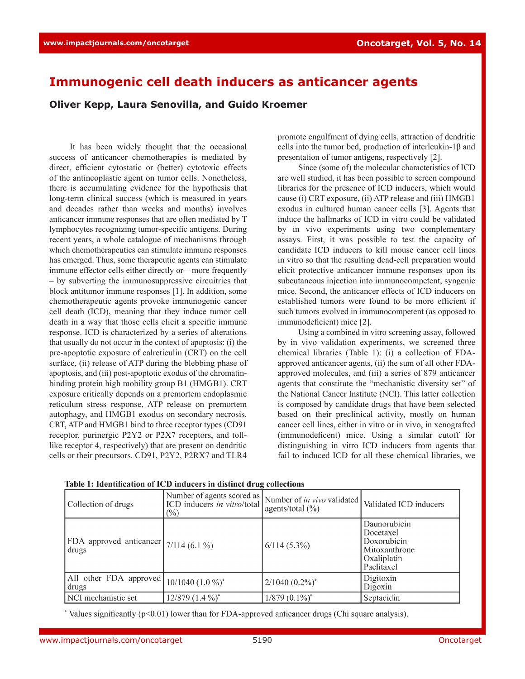## **Immunogenic cell death inducers as anticancer agents**

**Oliver Kepp, Laura Senovilla, and Guido Kroemer**

It has been widely thought that the occasional success of anticancer chemotherapies is mediated by direct, efficient cytostatic or (better) cytotoxic effects of the antineoplastic agent on tumor cells. Nonetheless, there is accumulating evidence for the hypothesis that long-term clinical success (which is measured in years and decades rather than weeks and months) involves anticancer immune responses that are often mediated by T lymphocytes recognizing tumor-specific antigens. During recent years, a whole catalogue of mechanisms through which chemotherapeutics can stimulate immune responses has emerged. Thus, some therapeutic agents can stimulate immune effector cells either directly or – more frequently – by subverting the immunosuppressive circuitries that block antitumor immune responses [1]. In addition, some chemotherapeutic agents provoke immunogenic cancer cell death (ICD), meaning that they induce tumor cell death in a way that those cells elicit a specific immune response. ICD is characterized by a series of alterations that usually do not occur in the context of apoptosis: (i) the pre-apoptotic exposure of calreticulin (CRT) on the cell surface, (ii) release of ATP during the blebbing phase of apoptosis, and (iii) post-apoptotic exodus of the chromatinbinding protein high mobility group B1 (HMGB1). CRT exposure critically depends on a premortem endoplasmic reticulum stress response, ATP release on premortem autophagy, and HMGB1 exodus on secondary necrosis. CRT, ATP and HMGB1 bind to three receptor types (CD91 receptor, purinergic P2Y2 or P2X7 receptors, and tolllike receptor 4, respectively) that are present on dendritic cells or their precursors. CD91, P2Y2, P2RX7 and TLR4 promote engulfment of dying cells, attraction of dendritic cells into the tumor bed, production of interleukin-1β and presentation of tumor antigens, respectively [2].

Since (some of) the molecular characteristics of ICD are well studied, it has been possible to screen compound libraries for the presence of ICD inducers, which would cause (i) CRT exposure, (ii) ATP release and (iii) HMGB1 exodus in cultured human cancer cells [3]. Agents that induce the hallmarks of ICD in vitro could be validated by in vivo experiments using two complementary assays. First, it was possible to test the capacity of candidate ICD inducers to kill mouse cancer cell lines in vitro so that the resulting dead-cell preparation would elicit protective anticancer immune responses upon its subcutaneous injection into immunocompetent, syngenic mice. Second, the anticancer effects of ICD inducers on established tumors were found to be more efficient if such tumors evolved in immunocompetent (as opposed to immunodeficient) mice [2].

Using a combined in vitro screening assay, followed by in vivo validation experiments, we screened three chemical libraries (Table 1): (i) a collection of FDAapproved anticancer agents, (ii) the sum of all other FDAapproved molecules, and (iii) a series of 879 anticancer agents that constitute the "mechanistic diversity set" of the National Cancer Institute (NCI). This latter collection is composed by candidate drugs that have been selected based on their preclinical activity, mostly on human cancer cell lines, either in vitro or in vivo, in xenografted (immunodeficent) mice. Using a similar cutoff for distinguishing in vitro ICD inducers from agents that fail to induced ICD for all these chemical libraries, we

| Collection of drugs                               | Number of agents scored as<br>ICD inducers in vitro/total<br>$(\% )$ | Number of <i>in vivo</i> validated<br>agents/total $(\frac{9}{6})$ | Validated ICD inducers                                                                 |
|---------------------------------------------------|----------------------------------------------------------------------|--------------------------------------------------------------------|----------------------------------------------------------------------------------------|
| (FDA approved anticancer $7/114$ (6.1 %)<br>drugs |                                                                      | $6/114(5.3\%)$                                                     | Daunorubicin<br>Docetaxel<br>Doxorubicin<br>Mitoxanthrone<br>Oxaliplatin<br>Paclitaxel |
| All other FDA approved<br>drugs                   | $10/1040$ $(1.0\%)^*$                                                | $2/1040$ $(0.2\%)^*$                                               | Digitoxin<br>Digoxin                                                                   |
| NCI mechanistic set                               | $12/879$ $(1.4\%)^*$                                                 | $1/879$ $(0.1\%)^*$                                                | Septacidin                                                                             |

Table 1: Identification of ICD inducers in distinct drug collections

\* Values significantly  $(p<0.01)$  lower than for FDA-approved anticancer drugs (Chi square analysis).